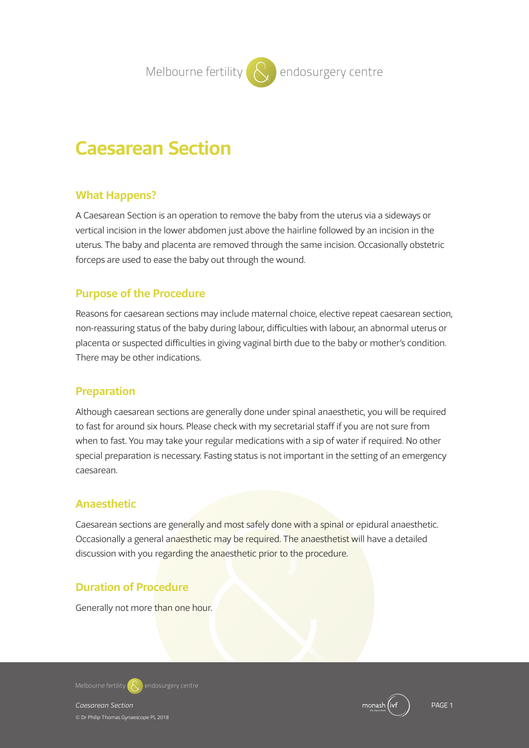**Melbourne fertility**  $\left\{ \right. \right\}$  endosurgery centre

# **Caesarean Section**

## **What Happens?**

A Caesarean Section is an operation to remove the baby from the uterus via a sideways or vertical incision in the lower abdomen just above the hairline followed by an incision in the uterus. The baby and placenta are removed through the same incision. Occasionally obstetric forceps are used to ease the baby out through the wound.

# **Purpose of the Procedure**

Reasons for caesarean sections may include maternal choice, elective repeat caesarean section, non-reassuring status of the baby during labour, difficulties with labour, an abnormal uterus or placenta or suspected difficulties in giving vaginal birth due to the baby or mother's condition. There may be other indications.

## **Preparation**

Although caesarean sections are generally done under spinal anaesthetic, you will be required to fast for around six hours. Please check with my secretarial staff if you are not sure from when to fast. You may take your regular medications with a sip of water if required. No other special preparation is necessary. Fasting status is not important in the setting of an emergency caesarean.

# **Anaesthetic**

Caesarean sections are generally and most safely done with a spinal or epidural anaesthetic. Occasionally a general anaesthetic may be required. The anaesthetist will have a detailed discussion with you regarding the anaesthetic prior to the procedure.

# **Duration of Procedure**

Generally not more than one hour.



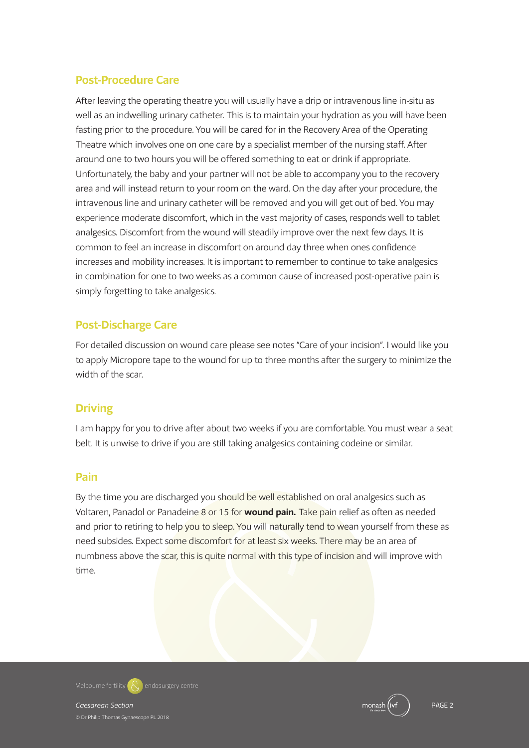# **Post-Procedure Care**

After leaving the operating theatre you will usually have a drip or intravenous line in-situ as well as an indwelling urinary catheter. This is to maintain your hydration as you will have been fasting prior to the procedure. You will be cared for in the Recovery Area of the Operating Theatre which involves one on one care by a specialist member of the nursing staff. After around one to two hours you will be offered something to eat or drink if appropriate. Unfortunately, the baby and your partner will not be able to accompany you to the recovery area and will instead return to your room on the ward. On the day after your procedure, the intravenous line and urinary catheter will be removed and you will get out of bed. You may experience moderate discomfort, which in the vast majority of cases, responds well to tablet analgesics. Discomfort from the wound will steadily improve over the next few days. It is common to feel an increase in discomfort on around day three when ones confidence increases and mobility increases. It is important to remember to continue to take analgesics in combination for one to two weeks as a common cause of increased post-operative pain is simply forgetting to take analgesics.

# **Post-Discharge Care**

For detailed discussion on wound care please see notes "Care of your incision". I would like you to apply Micropore tape to the wound for up to three months after the surgery to minimize the width of the scar.

# **Driving**

I am happy for you to drive after about two weeks if you are comfortable. You must wear a seat belt. It is unwise to drive if you are still taking analgesics containing codeine or similar.

## **Pain**

By the time you are discharged you should be well established on oral analgesics such as Voltaren, Panadol or Panadeine 8 or 15 for **wound pain.** Take pain relief as often as needed and prior to retiring to help you to sleep. You will naturally tend to wean yourself from these as need subsides. Expect some discomfort for at least six weeks. There may be an area of numbness above the scar, this is quite normal with this type of incision and will improve with time.



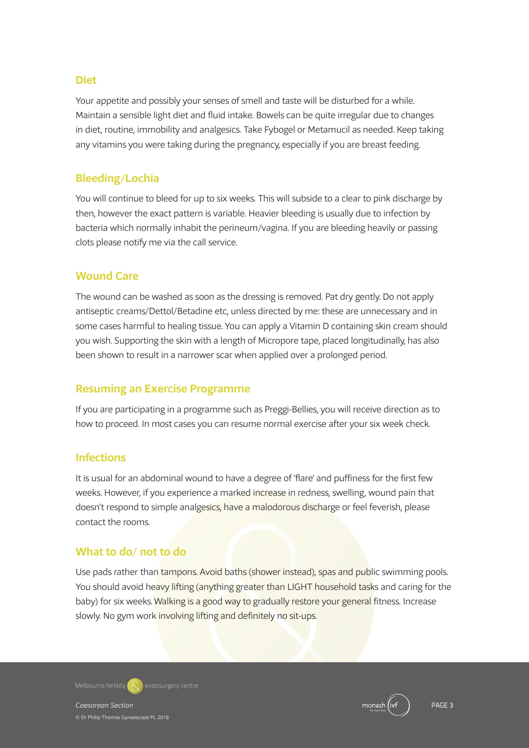#### **Diet**

Your appetite and possibly your senses of smell and taste will be disturbed for a while. Maintain a sensible light diet and fluid intake. Bowels can be quite irregular due to changes in diet, routine, immobility and analgesics. Take Fybogel or Metamucil as needed. Keep taking any vitamins you were taking during the pregnancy, especially if you are breast feeding.

## **Bleeding/Lochia**

You will continue to bleed for up to six weeks. This will subside to a clear to pink discharge by then, however the exact pattern is variable. Heavier bleeding is usually due to infection by bacteria which normally inhabit the perineum/vagina. If you are bleeding heavily or passing clots please notify me via the call service.

#### **Wound Care**

The wound can be washed as soon as the dressing is removed. Pat dry gently. Do not apply antiseptic creams/Dettol/Betadine etc, unless directed by me: these are unnecessary and in some cases harmful to healing tissue. You can apply a Vitamin D containing skin cream should you wish. Supporting the skin with a length of Micropore tape, placed longitudinally, has also been shown to result in a narrower scar when applied over a prolonged period.

## **Resuming an Exercise Programme**

If you are participating in a programme such as Preggi-Bellies, you will receive direction as to how to proceed. In most cases you can resume normal exercise after your six week check.

#### **Infections**

It is usual for an abdominal wound to have a degree of 'flare' and puffiness for the first few weeks. However, if you experience a marked increase in redness, swelling, wound pain that doesn't respond to simple analgesics, have a malodorous discharge or feel feverish, please contact the rooms.

#### **What to do/ not to do**

Use pads rather than tampons. Avoid baths (shower instead), spas and public swimming pools. You should avoid heavy lifting (anything greater than LIGHT household tasks and caring for the baby) for six weeks.Walking is a good way to gradually restore your general fitness. Increase slowly. No gym work involving lifting and definitely no sit-ups.

**Melbourne fertility endosurgery centre**

© Dr Philip Thomas Gynaescope PL 2018

*Caesarean Section* PAGE 3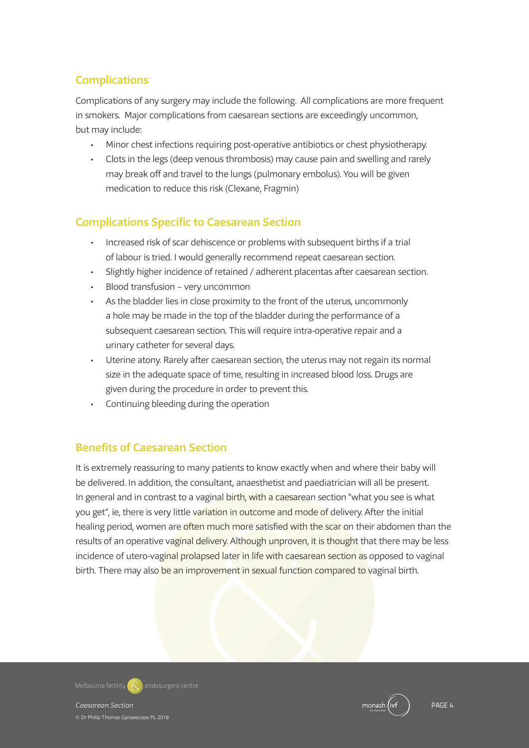# **Complications**

Complications of any surgery may include the following. All complications are more frequent in smokers. Major complications from caesarean sections are exceedingly uncommon, but may include:

- Minor chest infections requiring post-operative antibiotics or chest physiotherapy.
- Clots in the legs (deep venous thrombosis) may cause pain and swelling and rarely may break off and travel to the lungs (pulmonary embolus). You will be given medication to reduce this risk (Clexane, Fragmin)

# **Complications Specific to Caesarean Section**

- Increased risk of scar dehiscence or problems with subsequent births if a trial of labour is tried. I would generally recommend repeat caesarean section.
- Slightly higher incidence of retained / adherent placentas after caesarean section.
- Blood transfusion very uncommon
- As the bladder lies in close proximity to the front of the uterus, uncommonly a hole may be made in the top of the bladder during the performance of a subsequent caesarean section. This will require intra-operative repair and a urinary catheter for several days.
- Uterine atony. Rarely after caesarean section, the uterus may not regain its normal size in the adequate space of time, resulting in increased blood loss. Drugs are given during the procedure in order to prevent this.
- Continuing bleeding during the operation

# **Benefits of Caesarean Section**

It is extremely reassuring to many patients to know exactly when and where their baby will be delivered. In addition, the consultant, anaesthetist and paediatrician will all be present. In general and in contrast to a vaginal birth, with a caesarean section "what you see is what you get", ie, there is very little variation in outcome and mode of delivery. After the initial healing period, women are often much more satisfied with the scar on their abdomen than the results of an operative vaginal delivery. Although unproven, it is thought that there may be less incidence of utero-vaginal prolapsed later in life with caesarean section as opposed to vaginal birth. There may also be an improvement in sexual function compared to vaginal birth.